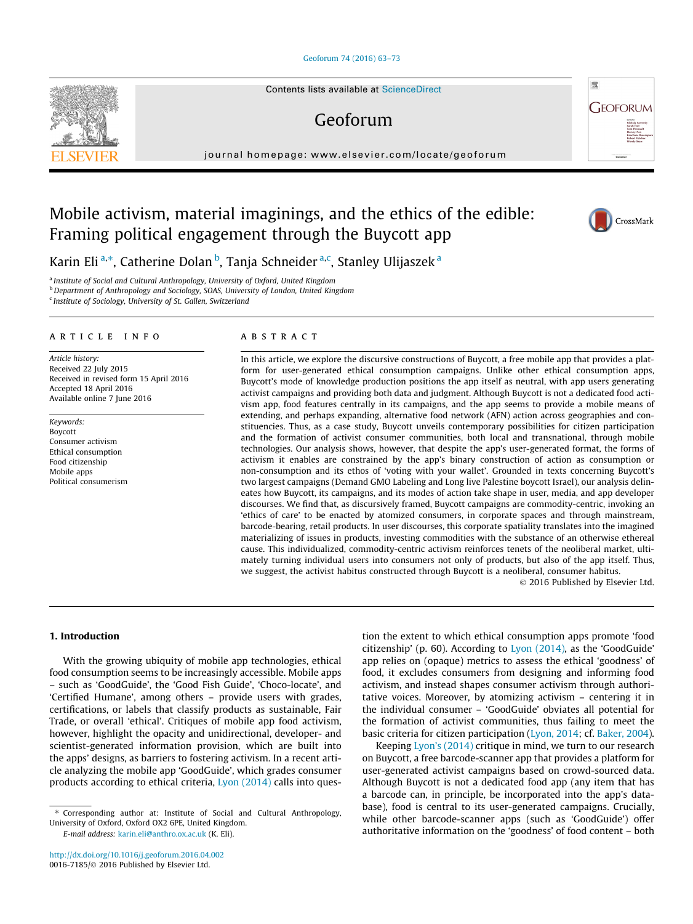## [Geoforum 74 \(2016\) 63–73](http://dx.doi.org/10.1016/j.geoforum.2016.04.002)

## Geoforum

journal homepage: [www.elsevier.com/locate/geoforum](http://www.elsevier.com/locate/geoforum)

# Mobile activism, material imaginings, and the ethics of the edible: Framing political engagement through the Buycott app



**GEOFORUM** 

赠

Karin Eli <sup>a,</sup>\*, Catherine Dolan <sup>b</sup>, Tanja Schneider <sup>a,c</sup>, Stanley Ulijaszek <sup>a</sup>

<sup>a</sup> Institute of Social and Cultural Anthropology, University of Oxford, United Kingdom <sup>b</sup> Department of Anthropology and Sociology, SOAS, University of London, United Kingdom

<sup>c</sup> Institute of Sociology, University of St. Gallen, Switzerland

#### article info

Article history: Received 22 July 2015 Received in revised form 15 April 2016 Accepted 18 April 2016 Available online 7 June 2016

Keywords: Boycott Consumer activism Ethical consumption Food citizenship Mobile apps Political consumerism

## A B S T R A C T

In this article, we explore the discursive constructions of Buycott, a free mobile app that provides a platform for user-generated ethical consumption campaigns. Unlike other ethical consumption apps, Buycott's mode of knowledge production positions the app itself as neutral, with app users generating activist campaigns and providing both data and judgment. Although Buycott is not a dedicated food activism app, food features centrally in its campaigns, and the app seems to provide a mobile means of extending, and perhaps expanding, alternative food network (AFN) action across geographies and constituencies. Thus, as a case study, Buycott unveils contemporary possibilities for citizen participation and the formation of activist consumer communities, both local and transnational, through mobile technologies. Our analysis shows, however, that despite the app's user-generated format, the forms of activism it enables are constrained by the app's binary construction of action as consumption or non-consumption and its ethos of 'voting with your wallet'. Grounded in texts concerning Buycott's two largest campaigns (Demand GMO Labeling and Long live Palestine boycott Israel), our analysis delineates how Buycott, its campaigns, and its modes of action take shape in user, media, and app developer discourses. We find that, as discursively framed, Buycott campaigns are commodity-centric, invoking an 'ethics of care' to be enacted by atomized consumers, in corporate spaces and through mainstream, barcode-bearing, retail products. In user discourses, this corporate spatiality translates into the imagined materializing of issues in products, investing commodities with the substance of an otherwise ethereal cause. This individualized, commodity-centric activism reinforces tenets of the neoliberal market, ultimately turning individual users into consumers not only of products, but also of the app itself. Thus, we suggest, the activist habitus constructed through Buycott is a neoliberal, consumer habitus.

2016 Published by Elsevier Ltd.

#### 1. Introduction

With the growing ubiquity of mobile app technologies, ethical food consumption seems to be increasingly accessible. Mobile apps – such as 'GoodGuide', the 'Good Fish Guide', 'Choco-locate', and 'Certified Humane', among others – provide users with grades, certifications, or labels that classify products as sustainable, Fair Trade, or overall 'ethical'. Critiques of mobile app food activism, however, highlight the opacity and unidirectional, developer- and scientist-generated information provision, which are built into the apps' designs, as barriers to fostering activism. In a recent article analyzing the mobile app 'GoodGuide', which grades consumer products according to ethical criteria, [Lyon \(2014\)](#page-9-0) calls into ques-

E-mail address: [karin.eli@anthro.ox.ac.uk](mailto:karin.eli@anthro.ox.ac.uk) (K. Eli).

<http://dx.doi.org/10.1016/j.geoforum.2016.04.002> 0016-7185/© 2016 Published by Elsevier Ltd.

tion the extent to which ethical consumption apps promote 'food citizenship' (p. 60). According to [Lyon \(2014\)](#page-9-0), as the 'GoodGuide' app relies on (opaque) metrics to assess the ethical 'goodness' of food, it excludes consumers from designing and informing food activism, and instead shapes consumer activism through authoritative voices. Moreover, by atomizing activism – centering it in the individual consumer – 'GoodGuide' obviates all potential for the formation of activist communities, thus failing to meet the basic criteria for citizen participation [\(Lyon, 2014](#page-9-0); cf. [Baker, 2004\)](#page-9-0).

Keeping [Lyon's \(2014\)](#page-9-0) critique in mind, we turn to our research on Buycott, a free barcode-scanner app that provides a platform for user-generated activist campaigns based on crowd-sourced data. Although Buycott is not a dedicated food app (any item that has a barcode can, in principle, be incorporated into the app's database), food is central to its user-generated campaigns. Crucially, while other barcode-scanner apps (such as 'GoodGuide') offer authoritative information on the 'goodness' of food content – both



<sup>⇑</sup> Corresponding author at: Institute of Social and Cultural Anthropology, University of Oxford, Oxford OX2 6PE, United Kingdom.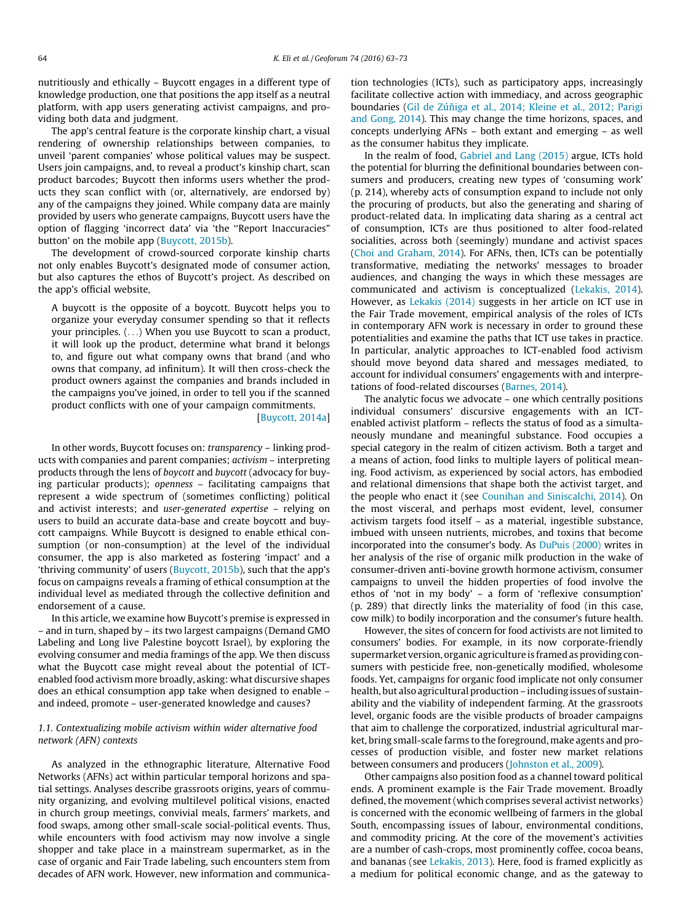nutritiously and ethically – Buycott engages in a different type of knowledge production, one that positions the app itself as a neutral platform, with app users generating activist campaigns, and providing both data and judgment.

The app's central feature is the corporate kinship chart, a visual rendering of ownership relationships between companies, to unveil 'parent companies' whose political values may be suspect. Users join campaigns, and, to reveal a product's kinship chart, scan product barcodes; Buycott then informs users whether the products they scan conflict with (or, alternatively, are endorsed by) any of the campaigns they joined. While company data are mainly provided by users who generate campaigns, Buycott users have the option of flagging 'incorrect data' via 'the ''Report Inaccuracies" button' on the mobile app [\(Buycott, 2015b](#page-9-0)).

The development of crowd-sourced corporate kinship charts not only enables Buycott's designated mode of consumer action, but also captures the ethos of Buycott's project. As described on the app's official website,

A buycott is the opposite of a boycott. Buycott helps you to organize your everyday consumer spending so that it reflects your principles. (...) When you use Buycott to scan a product, it will look up the product, determine what brand it belongs to, and figure out what company owns that brand (and who owns that company, ad infinitum). It will then cross-check the product owners against the companies and brands included in the campaigns you've joined, in order to tell you if the scanned product conflicts with one of your campaign commitments.

[\[Buycott, 2014a\]](#page-9-0)

In other words, Buycott focuses on: transparency – linking products with companies and parent companies; activism – interpreting products through the lens of boycott and buycott (advocacy for buying particular products); openness – facilitating campaigns that represent a wide spectrum of (sometimes conflicting) political and activist interests; and user-generated expertise – relying on users to build an accurate data-base and create boycott and buycott campaigns. While Buycott is designed to enable ethical consumption (or non-consumption) at the level of the individual consumer, the app is also marketed as fostering 'impact' and a 'thriving community' of users ([Buycott, 2015b\)](#page-9-0), such that the app's focus on campaigns reveals a framing of ethical consumption at the individual level as mediated through the collective definition and endorsement of a cause.

In this article, we examine how Buycott's premise is expressed in – and in turn, shaped by – its two largest campaigns (Demand GMO Labeling and Long live Palestine boycott Israel), by exploring the evolving consumer and media framings of the app. We then discuss what the Buycott case might reveal about the potential of ICTenabled food activism more broadly, asking: what discursive shapes does an ethical consumption app take when designed to enable – and indeed, promote – user-generated knowledge and causes?

## 1.1. Contextualizing mobile activism within wider alternative food network (AFN) contexts

As analyzed in the ethnographic literature, Alternative Food Networks (AFNs) act within particular temporal horizons and spatial settings. Analyses describe grassroots origins, years of community organizing, and evolving multilevel political visions, enacted in church group meetings, convivial meals, farmers' markets, and food swaps, among other small-scale social-political events. Thus, while encounters with food activism may now involve a single shopper and take place in a mainstream supermarket, as in the case of organic and Fair Trade labeling, such encounters stem from decades of AFN work. However, new information and communication technologies (ICTs), such as participatory apps, increasingly facilitate collective action with immediacy, and across geographic boundaries [\(Gil de Zúñiga et al., 2014; Kleine et al., 2012; Parigi](#page-9-0) [and Gong, 2014\)](#page-9-0). This may change the time horizons, spaces, and concepts underlying AFNs – both extant and emerging – as well as the consumer habitus they implicate.

In the realm of food, [Gabriel and Lang \(2015\)](#page-9-0) argue, ICTs hold the potential for blurring the definitional boundaries between consumers and producers, creating new types of 'consuming work' (p. 214), whereby acts of consumption expand to include not only the procuring of products, but also the generating and sharing of product-related data. In implicating data sharing as a central act of consumption, ICTs are thus positioned to alter food-related socialities, across both (seemingly) mundane and activist spaces ([Choi and Graham, 2014\)](#page-9-0). For AFNs, then, ICTs can be potentially transformative, mediating the networks' messages to broader audiences, and changing the ways in which these messages are communicated and activism is conceptualized [\(Lekakis, 2014\)](#page-9-0). However, as [Lekakis \(2014\)](#page-9-0) suggests in her article on ICT use in the Fair Trade movement, empirical analysis of the roles of ICTs in contemporary AFN work is necessary in order to ground these potentialities and examine the paths that ICT use takes in practice. In particular, analytic approaches to ICT-enabled food activism should move beyond data shared and messages mediated, to account for individual consumers' engagements with and interpretations of food-related discourses ([Barnes, 2014](#page-9-0)).

The analytic focus we advocate – one which centrally positions individual consumers' discursive engagements with an ICTenabled activist platform – reflects the status of food as a simultaneously mundane and meaningful substance. Food occupies a special category in the realm of citizen activism. Both a target and a means of action, food links to multiple layers of political meaning. Food activism, as experienced by social actors, has embodied and relational dimensions that shape both the activist target, and the people who enact it (see [Counihan and Siniscalchi, 2014](#page-9-0)). On the most visceral, and perhaps most evident, level, consumer activism targets food itself – as a material, ingestible substance, imbued with unseen nutrients, microbes, and toxins that become incorporated into the consumer's body. As [DuPuis \(2000\)](#page-9-0) writes in her analysis of the rise of organic milk production in the wake of consumer-driven anti-bovine growth hormone activism, consumer campaigns to unveil the hidden properties of food involve the ethos of 'not in my body' – a form of 'reflexive consumption' (p. 289) that directly links the materiality of food (in this case, cow milk) to bodily incorporation and the consumer's future health.

However, the sites of concern for food activists are not limited to consumers' bodies. For example, in its now corporate-friendly supermarket version, organic agriculture is framed as providing consumers with pesticide free, non-genetically modified, wholesome foods. Yet, campaigns for organic food implicate not only consumer health, but also agricultural production – including issues of sustainability and the viability of independent farming. At the grassroots level, organic foods are the visible products of broader campaigns that aim to challenge the corporatized, industrial agricultural market, bring small-scale farms to the foreground, make agents and processes of production visible, and foster new market relations between consumers and producers [\(Johnston et al., 2009](#page-9-0)).

Other campaigns also position food as a channel toward political ends. A prominent example is the Fair Trade movement. Broadly defined, the movement (which comprises several activist networks) is concerned with the economic wellbeing of farmers in the global South, encompassing issues of labour, environmental conditions, and commodity pricing. At the core of the movement's activities are a number of cash-crops, most prominently coffee, cocoa beans, and bananas (see [Lekakis, 2013](#page-9-0)). Here, food is framed explicitly as a medium for political economic change, and as the gateway to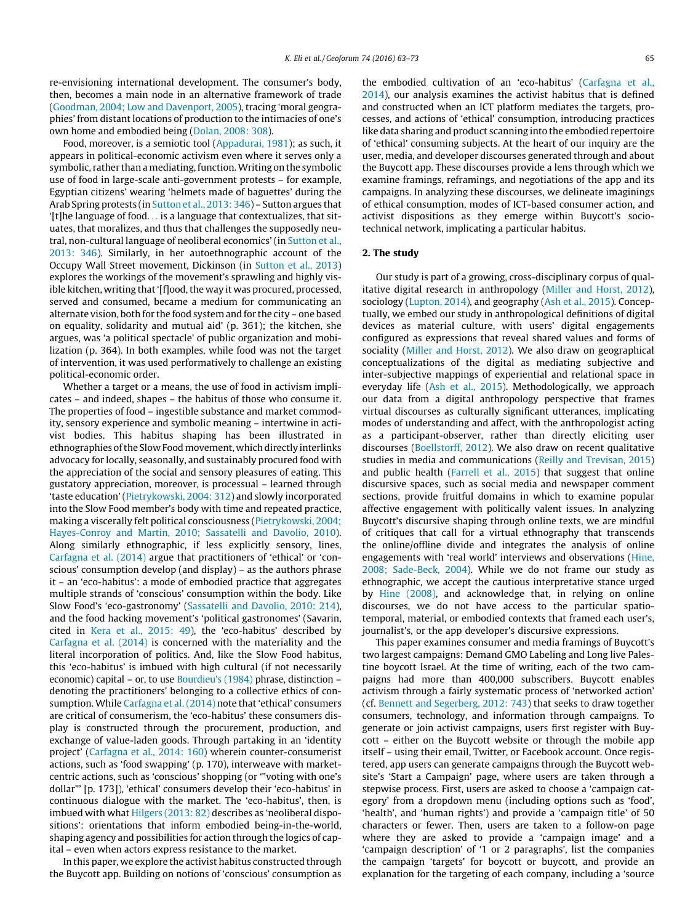re-envisioning international development. The consumer's body, then, becomes a main node in an alternative framework of trade ([Goodman, 2004; Low and Davenport, 2005](#page-9-0)), tracing 'moral geographies' from distant locations of production to the intimacies of one's own home and embodied being [\(Dolan, 2008: 308](#page-9-0)).

Food, moreover, is a semiotic tool [\(Appadurai, 1981](#page-9-0)); as such, it appears in political-economic activism even where it serves only a symbolic, rather than a mediating, function.Writing on the symbolic use of food in large-scale anti-government protests – for example, Egyptian citizens' wearing 'helmets made of baguettes' during the Arab Spring protests (in [Sutton et al., 2013: 346](#page-10-0)) – Sutton argues that '[t]he language of food... is a language that contextualizes, that situates, that moralizes, and thus that challenges the supposedly neutral, non-cultural language of neoliberal economics' (in [Sutton et al.,](#page-10-0) [2013: 346\)](#page-10-0). Similarly, in her autoethnographic account of the Occupy Wall Street movement, Dickinson (in [Sutton et al., 2013\)](#page-10-0) explores the workings of the movement's sprawling and highly visible kitchen, writing that '[f]ood, the way it was procured, processed, served and consumed, became a medium for communicating an alternate vision, both for the food system and for the city – one based on equality, solidarity and mutual aid' (p. 361); the kitchen, she argues, was 'a political spectacle' of public organization and mobilization (p. 364). In both examples, while food was not the target of intervention, it was used performatively to challenge an existing political-economic order.

Whether a target or a means, the use of food in activism implicates – and indeed, shapes – the habitus of those who consume it. The properties of food – ingestible substance and market commodity, sensory experience and symbolic meaning – intertwine in activist bodies. This habitus shaping has been illustrated in ethnographies of the Slow Food movement, which directly interlinks advocacy for locally, seasonally, and sustainably procured food with the appreciation of the social and sensory pleasures of eating. This gustatory appreciation, moreover, is processual – learned through 'taste education' [\(Pietrykowski, 2004: 312](#page-10-0)) and slowly incorporated into the Slow Food member's body with time and repeated practice, making a viscerally felt political consciousness [\(Pietrykowski, 2004;](#page-10-0) [Hayes-Conroy and Martin, 2010; Sassatelli and Davolio, 2010\)](#page-10-0). Along similarly ethnographic, if less explicitly sensory, lines, [Carfagna et al. \(2014\)](#page-9-0) argue that practitioners of 'ethical' or 'conscious' consumption develop (and display) – as the authors phrase it – an 'eco-habitus': a mode of embodied practice that aggregates multiple strands of 'conscious' consumption within the body. Like Slow Food's 'eco-gastronomy' [\(Sassatelli and Davolio, 2010: 214\)](#page-10-0), and the food hacking movement's 'political gastronomes' (Savarin, cited in [Kera et al., 2015: 49\)](#page-9-0), the 'eco-habitus' described by [Carfagna et al. \(2014\)](#page-9-0) is concerned with the materiality and the literal incorporation of politics. And, like the Slow Food habitus, this 'eco-habitus' is imbued with high cultural (if not necessarily economic) capital – or, to use [Bourdieu's \(1984\)](#page-9-0) phrase, distinction – denoting the practitioners' belonging to a collective ethics of consumption. While [Carfagna et al. \(2014\)](#page-9-0) note that 'ethical' consumers are critical of consumerism, the 'eco-habitus' these consumers display is constructed through the procurement, production, and exchange of value-laden goods. Through partaking in an 'identity project' ([Carfagna et al., 2014: 160](#page-9-0)) wherein counter-consumerist actions, such as 'food swapping' (p. 170), interweave with marketcentric actions, such as 'conscious' shopping (or '"voting with one's dollar"' [p. 173]), 'ethical' consumers develop their 'eco-habitus' in continuous dialogue with the market. The 'eco-habitus', then, is imbued with what [Hilgers \(2013: 82\)](#page-9-0) describes as 'neoliberal dispositions': orientations that inform embodied being-in-the-world, shaping agency and possibilities for action through the logics of capital – even when actors express resistance to the market.

In this paper, we explore the activist habitus constructed through the Buycott app. Building on notions of 'conscious' consumption as the embodied cultivation of an 'eco-habitus' [\(Carfagna et al.,](#page-9-0) [2014](#page-9-0)), our analysis examines the activist habitus that is defined and constructed when an ICT platform mediates the targets, processes, and actions of 'ethical' consumption, introducing practices like data sharing and product scanning into the embodied repertoire of 'ethical' consuming subjects. At the heart of our inquiry are the user, media, and developer discourses generated through and about the Buycott app. These discourses provide a lens through which we examine framings, reframings, and negotiations of the app and its campaigns. In analyzing these discourses, we delineate imaginings of ethical consumption, modes of ICT-based consumer action, and activist dispositions as they emerge within Buycott's sociotechnical network, implicating a particular habitus.

### 2. The study

Our study is part of a growing, cross-disciplinary corpus of qualitative digital research in anthropology [\(Miller and Horst, 2012\)](#page-9-0), sociology ([Lupton, 2014\)](#page-9-0), and geography [\(Ash et al., 2015\)](#page-9-0). Conceptually, we embed our study in anthropological definitions of digital devices as material culture, with users' digital engagements configured as expressions that reveal shared values and forms of sociality [\(Miller and Horst, 2012\)](#page-9-0). We also draw on geographical conceptualizations of the digital as mediating subjective and inter-subjective mappings of experiential and relational space in everyday life ([Ash et al., 2015\)](#page-9-0). Methodologically, we approach our data from a digital anthropology perspective that frames virtual discourses as culturally significant utterances, implicating modes of understanding and affect, with the anthropologist acting as a participant-observer, rather than directly eliciting user discourses ([Boellstorff, 2012](#page-9-0)). We also draw on recent qualitative studies in media and communications [\(Reilly and Trevisan, 2015\)](#page-10-0) and public health ([Farrell et al., 2015\)](#page-9-0) that suggest that online discursive spaces, such as social media and newspaper comment sections, provide fruitful domains in which to examine popular affective engagement with politically valent issues. In analyzing Buycott's discursive shaping through online texts, we are mindful of critiques that call for a virtual ethnography that transcends the online/offline divide and integrates the analysis of online engagements with 'real world' interviews and observations ([Hine,](#page-9-0) [2008; Sade-Beck, 2004\)](#page-9-0). While we do not frame our study as ethnographic, we accept the cautious interpretative stance urged by [Hine \(2008\),](#page-9-0) and acknowledge that, in relying on online discourses, we do not have access to the particular spatiotemporal, material, or embodied contexts that framed each user's, journalist's, or the app developer's discursive expressions.

This paper examines consumer and media framings of Buycott's two largest campaigns: Demand GMO Labeling and Long live Palestine boycott Israel. At the time of writing, each of the two campaigns had more than 400,000 subscribers. Buycott enables activism through a fairly systematic process of 'networked action' (cf. [Bennett and Segerberg, 2012: 743](#page-9-0)) that seeks to draw together consumers, technology, and information through campaigns. To generate or join activist campaigns, users first register with Buycott – either on the Buycott website or through the mobile app itself – using their email, Twitter, or Facebook account. Once registered, app users can generate campaigns through the Buycott website's 'Start a Campaign' page, where users are taken through a stepwise process. First, users are asked to choose a 'campaign category' from a dropdown menu (including options such as 'food', 'health', and 'human rights') and provide a 'campaign title' of 50 characters or fewer. Then, users are taken to a follow-on page where they are asked to provide a 'campaign image' and a 'campaign description' of '1 or 2 paragraphs', list the companies the campaign 'targets' for boycott or buycott, and provide an explanation for the targeting of each company, including a 'source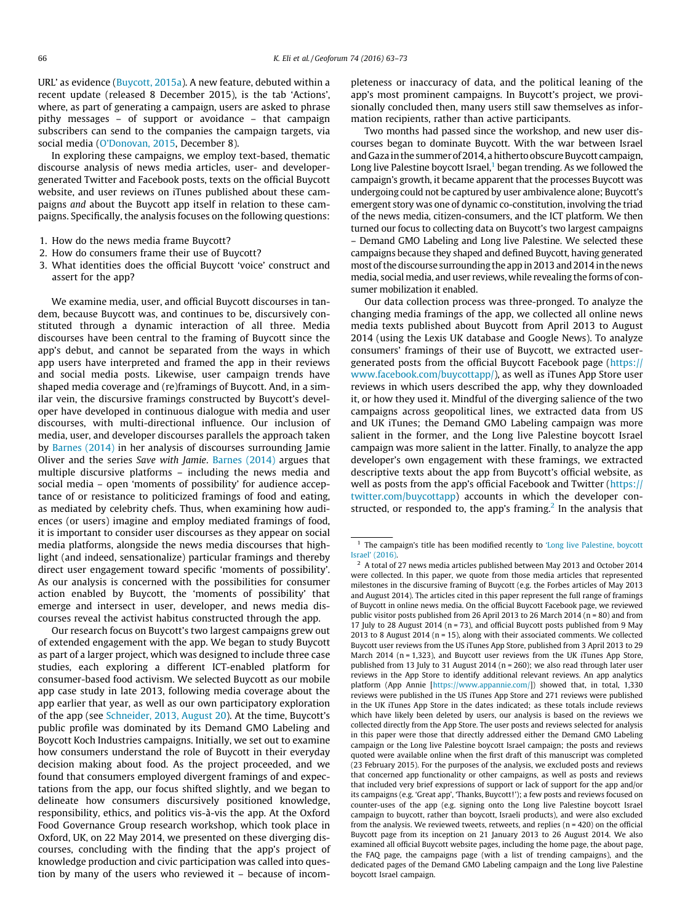URL' as evidence [\(Buycott, 2015a](#page-9-0)). A new feature, debuted within a recent update (released 8 December 2015), is the tab 'Actions', where, as part of generating a campaign, users are asked to phrase pithy messages – of support or avoidance – that campaign subscribers can send to the companies the campaign targets, via social media ([O'Donovan, 2015,](#page-10-0) December 8).

In exploring these campaigns, we employ text-based, thematic discourse analysis of news media articles, user- and developergenerated Twitter and Facebook posts, texts on the official Buycott website, and user reviews on iTunes published about these campaigns and about the Buycott app itself in relation to these campaigns. Specifically, the analysis focuses on the following questions:

- 1. How do the news media frame Buycott?
- 2. How do consumers frame their use of Buycott?
- 3. What identities does the official Buycott 'voice' construct and assert for the app?

We examine media, user, and official Buycott discourses in tandem, because Buycott was, and continues to be, discursively constituted through a dynamic interaction of all three. Media discourses have been central to the framing of Buycott since the app's debut, and cannot be separated from the ways in which app users have interpreted and framed the app in their reviews and social media posts. Likewise, user campaign trends have shaped media coverage and (re)framings of Buycott. And, in a similar vein, the discursive framings constructed by Buycott's developer have developed in continuous dialogue with media and user discourses, with multi-directional influence. Our inclusion of media, user, and developer discourses parallels the approach taken by [Barnes \(2014\)](#page-9-0) in her analysis of discourses surrounding Jamie Oliver and the series Save with Jamie. [Barnes \(2014\)](#page-9-0) argues that multiple discursive platforms – including the news media and social media – open 'moments of possibility' for audience acceptance of or resistance to politicized framings of food and eating, as mediated by celebrity chefs. Thus, when examining how audiences (or users) imagine and employ mediated framings of food, it is important to consider user discourses as they appear on social media platforms, alongside the news media discourses that highlight (and indeed, sensationalize) particular framings and thereby direct user engagement toward specific 'moments of possibility'. As our analysis is concerned with the possibilities for consumer action enabled by Buycott, the 'moments of possibility' that emerge and intersect in user, developer, and news media discourses reveal the activist habitus constructed through the app.

Our research focus on Buycott's two largest campaigns grew out of extended engagement with the app. We began to study Buycott as part of a larger project, which was designed to include three case studies, each exploring a different ICT-enabled platform for consumer-based food activism. We selected Buycott as our mobile app case study in late 2013, following media coverage about the app earlier that year, as well as our own participatory exploration of the app (see [Schneider, 2013, August 20\)](#page-10-0). At the time, Buycott's public profile was dominated by its Demand GMO Labeling and Boycott Koch Industries campaigns. Initially, we set out to examine how consumers understand the role of Buycott in their everyday decision making about food. As the project proceeded, and we found that consumers employed divergent framings of and expectations from the app, our focus shifted slightly, and we began to delineate how consumers discursively positioned knowledge, responsibility, ethics, and politics vis-à-vis the app. At the Oxford Food Governance Group research workshop, which took place in Oxford, UK, on 22 May 2014, we presented on these diverging discourses, concluding with the finding that the app's project of knowledge production and civic participation was called into question by many of the users who reviewed it – because of incompleteness or inaccuracy of data, and the political leaning of the app's most prominent campaigns. In Buycott's project, we provisionally concluded then, many users still saw themselves as information recipients, rather than active participants.

Two months had passed since the workshop, and new user discourses began to dominate Buycott. With the war between Israel and Gaza in the summer of 2014, a hitherto obscure Buycott campaign, Long live Palestine boycott Israel, $1$  began trending. As we followed the campaign's growth, it became apparent that the processes Buycott was undergoing could not be captured by user ambivalence alone; Buycott's emergent story was one of dynamic co-constitution, involving the triad of the news media, citizen-consumers, and the ICT platform. We then turned our focus to collecting data on Buycott's two largest campaigns – Demand GMO Labeling and Long live Palestine. We selected these campaigns because they shaped and defined Buycott, having generated most of the discourse surrounding the app in 2013 and 2014 in the news media, social media, and user reviews, while revealing the forms of consumer mobilization it enabled.

Our data collection process was three-pronged. To analyze the changing media framings of the app, we collected all online news media texts published about Buycott from April 2013 to August 2014 (using the Lexis UK database and Google News). To analyze consumers' framings of their use of Buycott, we extracted usergenerated posts from the official Buycott Facebook page ([https://](https://www.facebook.com/buycottapp/) [www.facebook.com/buycottapp/\)](https://www.facebook.com/buycottapp/), as well as iTunes App Store user reviews in which users described the app, why they downloaded it, or how they used it. Mindful of the diverging salience of the two campaigns across geopolitical lines, we extracted data from US and UK iTunes; the Demand GMO Labeling campaign was more salient in the former, and the Long live Palestine boycott Israel campaign was more salient in the latter. Finally, to analyze the app developer's own engagement with these framings, we extracted descriptive texts about the app from Buycott's official website, as well as posts from the app's official Facebook and Twitter ([https://](https://twitter.com/buycottapp) [twitter.com/buycottapp\)](https://twitter.com/buycottapp) accounts in which the developer constructed, or responded to, the app's framing.<sup>2</sup> In the analysis that

 $1$  The campaign's title has been modified recently to ['Long live Palestine, boycott](#page-9-0) [Israel' \(2016\).](#page-9-0)

 $2$  A total of 27 news media articles published between May 2013 and October 2014 were collected. In this paper, we quote from those media articles that represented milestones in the discursive framing of Buycott (e.g. the Forbes articles of May 2013 and August 2014). The articles cited in this paper represent the full range of framings of Buycott in online news media. On the official Buycott Facebook page, we reviewed public visitor posts published from 26 April 2013 to 26 March 2014 (n = 80) and from 17 July to 28 August 2014 ( $n = 73$ ), and official Buycott posts published from 9 May 2013 to 8 August 2014 ( $n = 15$ ), along with their associated comments. We collected Buycott user reviews from the US iTunes App Store, published from 3 April 2013 to 29 March 2014 (n = 1,323), and Buycott user reviews from the UK iTunes App Store, published from 13 July to 31 August 2014 (n = 260); we also read through later user reviews in the App Store to identify additional relevant reviews. An app analytics platform (App Annie [\[https://www.appannie.com/\]](https://www.appannie.com/)) showed that, in total, 1,330 reviews were published in the US iTunes App Store and 271 reviews were published in the UK iTunes App Store in the dates indicated; as these totals include reviews which have likely been deleted by users, our analysis is based on the reviews we collected directly from the App Store. The user posts and reviews selected for analysis in this paper were those that directly addressed either the Demand GMO Labeling campaign or the Long live Palestine boycott Israel campaign; the posts and reviews quoted were available online when the first draft of this manuscript was completed (23 February 2015). For the purposes of the analysis, we excluded posts and reviews that concerned app functionality or other campaigns, as well as posts and reviews that included very brief expressions of support or lack of support for the app and/or its campaigns (e.g. 'Great app', 'Thanks, Buycott!'); a few posts and reviews focused on counter-uses of the app (e.g. signing onto the Long live Palestine boycott Israel campaign to buycott, rather than boycott, Israeli products), and were also excluded from the analysis. We reviewed tweets, retweets, and replies (n = 420) on the official Buycott page from its inception on 21 January 2013 to 26 August 2014. We also examined all official Buycott website pages, including the home page, the about page, the FAQ page, the campaigns page (with a list of trending campaigns), and the dedicated pages of the Demand GMO Labeling campaign and the Long live Palestine boycott Israel campaign.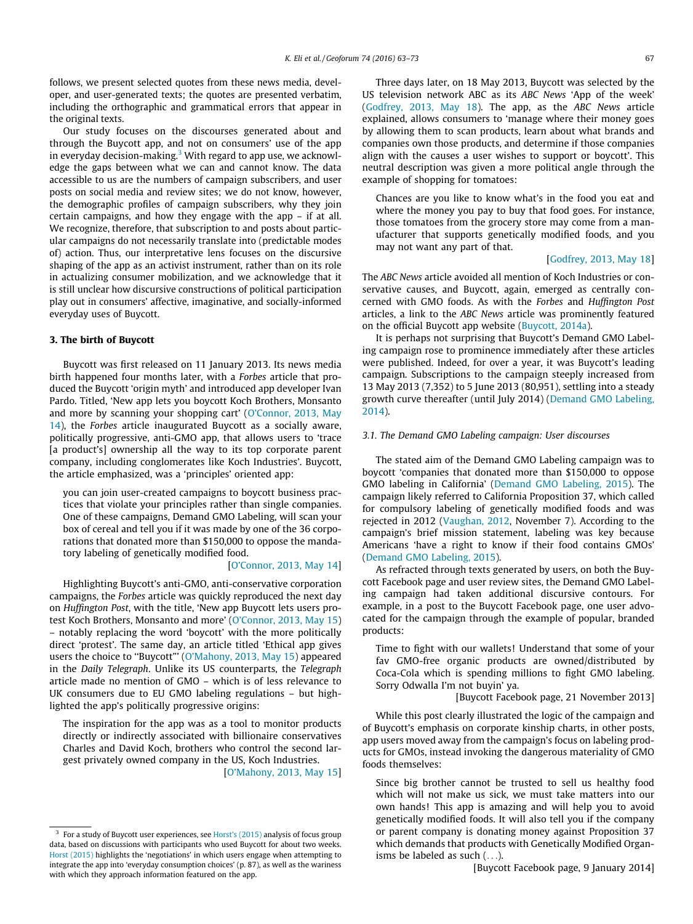follows, we present selected quotes from these news media, developer, and user-generated texts; the quotes are presented verbatim, including the orthographic and grammatical errors that appear in the original texts.

Our study focuses on the discourses generated about and through the Buycott app, and not on consumers' use of the app in everyday decision-making. $3$  With regard to app use, we acknowledge the gaps between what we can and cannot know. The data accessible to us are the numbers of campaign subscribers, and user posts on social media and review sites; we do not know, however, the demographic profiles of campaign subscribers, why they join certain campaigns, and how they engage with the app – if at all. We recognize, therefore, that subscription to and posts about particular campaigns do not necessarily translate into (predictable modes of) action. Thus, our interpretative lens focuses on the discursive shaping of the app as an activist instrument, rather than on its role in actualizing consumer mobilization, and we acknowledge that it is still unclear how discursive constructions of political participation play out in consumers' affective, imaginative, and socially-informed everyday uses of Buycott.

#### 3. The birth of Buycott

Buycott was first released on 11 January 2013. Its news media birth happened four months later, with a Forbes article that produced the Buycott 'origin myth' and introduced app developer Ivan Pardo. Titled, 'New app lets you boycott Koch Brothers, Monsanto and more by scanning your shopping cart' ([O'Connor, 2013, May](#page-9-0) [14](#page-9-0)), the Forbes article inaugurated Buycott as a socially aware, politically progressive, anti-GMO app, that allows users to 'trace [a product's] ownership all the way to its top corporate parent company, including conglomerates like Koch Industries'. Buycott, the article emphasized, was a 'principles' oriented app:

you can join user-created campaigns to boycott business practices that violate your principles rather than single companies. One of these campaigns, Demand GMO Labeling, will scan your box of cereal and tell you if it was made by one of the 36 corporations that donated more than \$150,000 to oppose the mandatory labeling of genetically modified food.

#### [[O'Connor, 2013, May 14\]](#page-9-0)

Highlighting Buycott's anti-GMO, anti-conservative corporation campaigns, the Forbes article was quickly reproduced the next day on Huffington Post, with the title, 'New app Buycott lets users protest Koch Brothers, Monsanto and more' ([O'Connor, 2013, May 15\)](#page-9-0) – notably replacing the word 'boycott' with the more politically direct 'protest'. The same day, an article titled 'Ethical app gives users the choice to "Buycott"' [\(O'Mahony, 2013, May 15](#page-10-0)) appeared in the Daily Telegraph. Unlike its US counterparts, the Telegraph article made no mention of GMO – which is of less relevance to UK consumers due to EU GMO labeling regulations – but highlighted the app's politically progressive origins:

The inspiration for the app was as a tool to monitor products directly or indirectly associated with billionaire conservatives Charles and David Koch, brothers who control the second largest privately owned company in the US, Koch Industries.

[\[O'Mahony, 2013, May 15\]](#page-10-0)

Three days later, on 18 May 2013, Buycott was selected by the US television network ABC as its ABC News 'App of the week' ([Godfrey, 2013, May 18](#page-9-0)). The app, as the ABC News article explained, allows consumers to 'manage where their money goes by allowing them to scan products, learn about what brands and companies own those products, and determine if those companies align with the causes a user wishes to support or boycott'. This neutral description was given a more political angle through the example of shopping for tomatoes:

Chances are you like to know what's in the food you eat and where the money you pay to buy that food goes. For instance, those tomatoes from the grocery store may come from a manufacturer that supports genetically modified foods, and you may not want any part of that.

### [[Godfrey, 2013, May 18\]](#page-9-0)

The ABC News article avoided all mention of Koch Industries or conservative causes, and Buycott, again, emerged as centrally concerned with GMO foods. As with the Forbes and Huffington Post articles, a link to the ABC News article was prominently featured on the official Buycott app website ([Buycott, 2014a\)](#page-9-0).

It is perhaps not surprising that Buycott's Demand GMO Labeling campaign rose to prominence immediately after these articles were published. Indeed, for over a year, it was Buycott's leading campaign. Subscriptions to the campaign steeply increased from 13 May 2013 (7,352) to 5 June 2013 (80,951), settling into a steady growth curve thereafter (until July 2014) ([Demand GMO Labeling,](#page-9-0) [2014](#page-9-0)).

#### 3.1. The Demand GMO Labeling campaign: User discourses

The stated aim of the Demand GMO Labeling campaign was to boycott 'companies that donated more than \$150,000 to oppose GMO labeling in California' ([Demand GMO Labeling, 2015\)](#page-9-0). The campaign likely referred to California Proposition 37, which called for compulsory labeling of genetically modified foods and was rejected in 2012 ([Vaughan, 2012](#page-10-0), November 7). According to the campaign's brief mission statement, labeling was key because Americans 'have a right to know if their food contains GMOs' ([Demand GMO Labeling, 2015](#page-9-0)).

As refracted through texts generated by users, on both the Buycott Facebook page and user review sites, the Demand GMO Labeling campaign had taken additional discursive contours. For example, in a post to the Buycott Facebook page, one user advocated for the campaign through the example of popular, branded products:

Time to fight with our wallets! Understand that some of your fav GMO-free organic products are owned/distributed by Coca-Cola which is spending millions to fight GMO labeling. Sorry Odwalla I'm not buyin' ya.

[Buycott Facebook page, 21 November 2013]

While this post clearly illustrated the logic of the campaign and of Buycott's emphasis on corporate kinship charts, in other posts, app users moved away from the campaign's focus on labeling products for GMOs, instead invoking the dangerous materiality of GMO foods themselves:

Since big brother cannot be trusted to sell us healthy food which will not make us sick, we must take matters into our own hands! This app is amazing and will help you to avoid genetically modified foods. It will also tell you if the company or parent company is donating money against Proposition 37 which demands that products with Genetically Modified Organisms be labeled as such (...).

[Buycott Facebook page, 9 January 2014]

<sup>3</sup> For a study of Buycott user experiences, see [Horst's \(2015\)](#page-9-0) analysis of focus group data, based on discussions with participants who used Buycott for about two weeks. [Horst \(2015\)](#page-9-0) highlights the 'negotiations' in which users engage when attempting to integrate the app into 'everyday consumption choices' (p. 87), as well as the wariness with which they approach information featured on the app.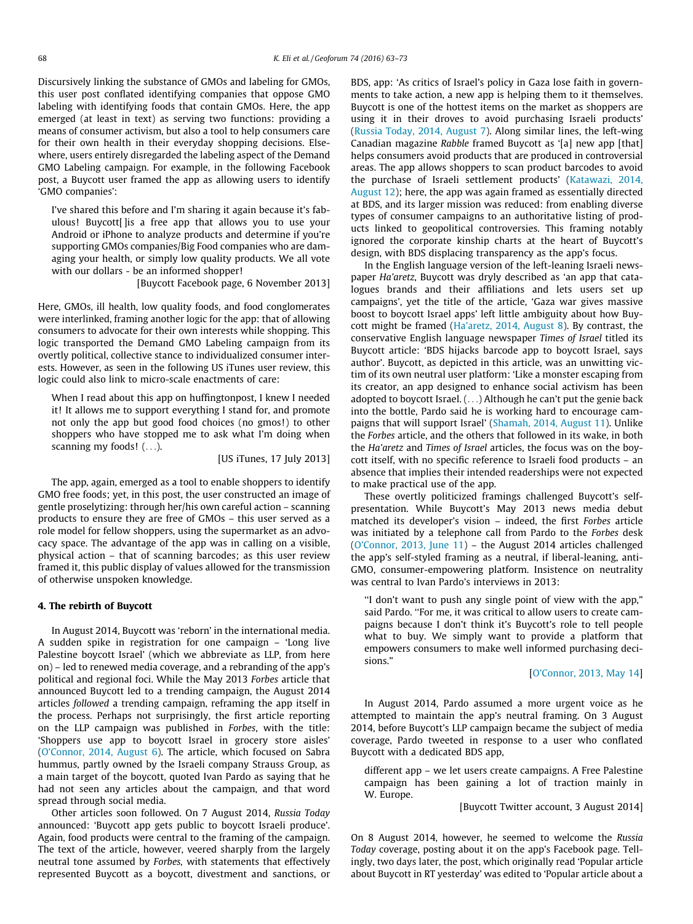Discursively linking the substance of GMOs and labeling for GMOs, this user post conflated identifying companies that oppose GMO labeling with identifying foods that contain GMOs. Here, the app emerged (at least in text) as serving two functions: providing a means of consumer activism, but also a tool to help consumers care for their own health in their everyday shopping decisions. Elsewhere, users entirely disregarded the labeling aspect of the Demand GMO Labeling campaign. For example, in the following Facebook post, a Buycott user framed the app as allowing users to identify 'GMO companies':

I've shared this before and I'm sharing it again because it's fabulous! Buycott[ ]is a free app that allows you to use your Android or iPhone to analyze products and determine if you're supporting GMOs companies/Big Food companies who are damaging your health, or simply low quality products. We all vote with our dollars - be an informed shopper!

[Buycott Facebook page, 6 November 2013]

Here, GMOs, ill health, low quality foods, and food conglomerates were interlinked, framing another logic for the app: that of allowing consumers to advocate for their own interests while shopping. This logic transported the Demand GMO Labeling campaign from its overtly political, collective stance to individualized consumer interests. However, as seen in the following US iTunes user review, this logic could also link to micro-scale enactments of care:

When I read about this app on huffingtonpost, I knew I needed it! It allows me to support everything I stand for, and promote not only the app but good food choices (no gmos!) to other shoppers who have stopped me to ask what I'm doing when scanning my foods! (...).

[US iTunes, 17 July 2013]

The app, again, emerged as a tool to enable shoppers to identify GMO free foods; yet, in this post, the user constructed an image of gentle proselytizing: through her/his own careful action – scanning products to ensure they are free of GMOs – this user served as a role model for fellow shoppers, using the supermarket as an advocacy space. The advantage of the app was in calling on a visible, physical action – that of scanning barcodes; as this user review framed it, this public display of values allowed for the transmission of otherwise unspoken knowledge.

#### 4. The rebirth of Buycott

In August 2014, Buycott was 'reborn' in the international media. A sudden spike in registration for one campaign – 'Long live Palestine boycott Israel' (which we abbreviate as LLP, from here on) – led to renewed media coverage, and a rebranding of the app's political and regional foci. While the May 2013 Forbes article that announced Buycott led to a trending campaign, the August 2014 articles followed a trending campaign, reframing the app itself in the process. Perhaps not surprisingly, the first article reporting on the LLP campaign was published in Forbes, with the title: 'Shoppers use app to boycott Israel in grocery store aisles' ([O'Connor, 2014, August 6](#page-9-0)). The article, which focused on Sabra hummus, partly owned by the Israeli company Strauss Group, as a main target of the boycott, quoted Ivan Pardo as saying that he had not seen any articles about the campaign, and that word spread through social media.

Other articles soon followed. On 7 August 2014, Russia Today announced: 'Buycott app gets public to boycott Israeli produce'. Again, food products were central to the framing of the campaign. The text of the article, however, veered sharply from the largely neutral tone assumed by Forbes, with statements that effectively represented Buycott as a boycott, divestment and sanctions, or BDS, app: 'As critics of Israel's policy in Gaza lose faith in governments to take action, a new app is helping them to it themselves. Buycott is one of the hottest items on the market as shoppers are using it in their droves to avoid purchasing Israeli products' ([Russia Today, 2014, August 7\)](#page-10-0). Along similar lines, the left-wing Canadian magazine Rabble framed Buycott as '[a] new app [that] helps consumers avoid products that are produced in controversial areas. The app allows shoppers to scan product barcodes to avoid the purchase of Israeli settlement products' ([Katawazi, 2014,](#page-9-0) [August 12\)](#page-9-0); here, the app was again framed as essentially directed at BDS, and its larger mission was reduced: from enabling diverse types of consumer campaigns to an authoritative listing of products linked to geopolitical controversies. This framing notably ignored the corporate kinship charts at the heart of Buycott's design, with BDS displacing transparency as the app's focus.

In the English language version of the left-leaning Israeli newspaper Ha'aretz, Buycott was dryly described as 'an app that catalogues brands and their affiliations and lets users set up campaigns', yet the title of the article, 'Gaza war gives massive boost to boycott Israel apps' left little ambiguity about how Buycott might be framed [\(Ha'aretz, 2014, August 8](#page-9-0)). By contrast, the conservative English language newspaper Times of Israel titled its Buycott article: 'BDS hijacks barcode app to boycott Israel, says author'. Buycott, as depicted in this article, was an unwitting victim of its own neutral user platform: 'Like a monster escaping from its creator, an app designed to enhance social activism has been adopted to boycott Israel. (...) Although he can't put the genie back into the bottle, Pardo said he is working hard to encourage campaigns that will support Israel' ([Shamah, 2014, August 11\)](#page-10-0). Unlike the Forbes article, and the others that followed in its wake, in both the Ha'aretz and Times of Israel articles, the focus was on the boycott itself, with no specific reference to Israeli food products – an absence that implies their intended readerships were not expected to make practical use of the app.

These overtly politicized framings challenged Buycott's selfpresentation. While Buycott's May 2013 news media debut matched its developer's vision – indeed, the first Forbes article was initiated by a telephone call from Pardo to the Forbes desk ([O'Connor, 2013, June 11\)](#page-9-0) – the August 2014 articles challenged the app's self-styled framing as a neutral, if liberal-leaning, anti-GMO, consumer-empowering platform. Insistence on neutrality was central to Ivan Pardo's interviews in 2013:

''I don't want to push any single point of view with the app," said Pardo. ''For me, it was critical to allow users to create campaigns because I don't think it's Buycott's role to tell people what to buy. We simply want to provide a platform that empowers consumers to make well informed purchasing decisions."

#### [\[O'Connor, 2013, May 14\]](#page-9-0)

In August 2014, Pardo assumed a more urgent voice as he attempted to maintain the app's neutral framing. On 3 August 2014, before Buycott's LLP campaign became the subject of media coverage, Pardo tweeted in response to a user who conflated Buycott with a dedicated BDS app,

different app – we let users create campaigns. A Free Palestine campaign has been gaining a lot of traction mainly in W. Europe.

[Buycott Twitter account, 3 August 2014]

On 8 August 2014, however, he seemed to welcome the Russia Today coverage, posting about it on the app's Facebook page. Tellingly, two days later, the post, which originally read 'Popular article about Buycott in RT yesterday' was edited to 'Popular article about a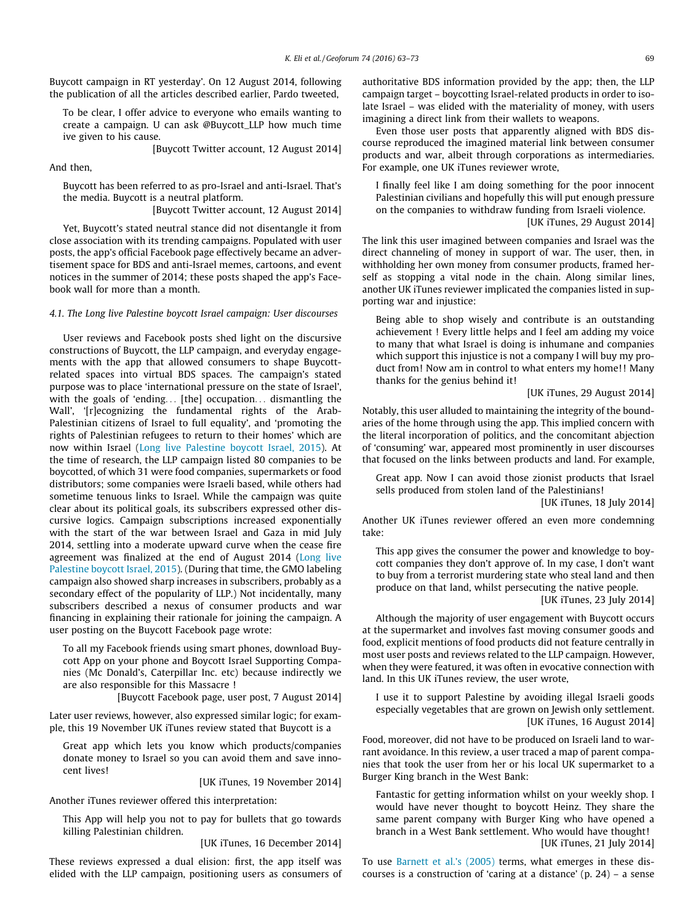Buycott campaign in RT yesterday'. On 12 August 2014, following the publication of all the articles described earlier, Pardo tweeted,

To be clear, I offer advice to everyone who emails wanting to create a campaign. U can ask @Buycott\_LLP how much time ive given to his cause.

[Buycott Twitter account, 12 August 2014]

And then,

Buycott has been referred to as pro-Israel and anti-Israel. That's the media. Buycott is a neutral platform.

[Buycott Twitter account, 12 August 2014]

Yet, Buycott's stated neutral stance did not disentangle it from close association with its trending campaigns. Populated with user posts, the app's official Facebook page effectively became an advertisement space for BDS and anti-Israel memes, cartoons, and event notices in the summer of 2014; these posts shaped the app's Facebook wall for more than a month.

## 4.1. The Long live Palestine boycott Israel campaign: User discourses

User reviews and Facebook posts shed light on the discursive constructions of Buycott, the LLP campaign, and everyday engagements with the app that allowed consumers to shape Buycottrelated spaces into virtual BDS spaces. The campaign's stated purpose was to place 'international pressure on the state of Israel', with the goals of 'ending... [the] occupation... dismantling the Wall', '[r]ecognizing the fundamental rights of the Arab-Palestinian citizens of Israel to full equality', and 'promoting the rights of Palestinian refugees to return to their homes' which are now within Israel ([Long live Palestine boycott Israel, 2015](#page-9-0)). At the time of research, the LLP campaign listed 80 companies to be boycotted, of which 31 were food companies, supermarkets or food distributors; some companies were Israeli based, while others had sometime tenuous links to Israel. While the campaign was quite clear about its political goals, its subscribers expressed other discursive logics. Campaign subscriptions increased exponentially with the start of the war between Israel and Gaza in mid July 2014, settling into a moderate upward curve when the cease fire agreement was finalized at the end of August 2014 ([Long live](#page-9-0) [Palestine boycott Israel, 2015](#page-9-0)). (During that time, the GMO labeling campaign also showed sharp increases in subscribers, probably as a secondary effect of the popularity of LLP.) Not incidentally, many subscribers described a nexus of consumer products and war financing in explaining their rationale for joining the campaign. A user posting on the Buycott Facebook page wrote:

To all my Facebook friends using smart phones, download Buycott App on your phone and Boycott Israel Supporting Companies (Mc Donald's, Caterpillar Inc. etc) because indirectly we are also responsible for this Massacre !

[Buycott Facebook page, user post, 7 August 2014]

Later user reviews, however, also expressed similar logic; for example, this 19 November UK iTunes review stated that Buycott is a

Great app which lets you know which products/companies donate money to Israel so you can avoid them and save innocent lives!

[UK iTunes, 19 November 2014]

Another iTunes reviewer offered this interpretation:

This App will help you not to pay for bullets that go towards killing Palestinian children.

[UK iTunes, 16 December 2014]

These reviews expressed a dual elision: first, the app itself was elided with the LLP campaign, positioning users as consumers of authoritative BDS information provided by the app; then, the LLP campaign target – boycotting Israel-related products in order to isolate Israel – was elided with the materiality of money, with users imagining a direct link from their wallets to weapons.

Even those user posts that apparently aligned with BDS discourse reproduced the imagined material link between consumer products and war, albeit through corporations as intermediaries. For example, one UK iTunes reviewer wrote,

I finally feel like I am doing something for the poor innocent Palestinian civilians and hopefully this will put enough pressure on the companies to withdraw funding from Israeli violence. [UK iTunes, 29 August 2014]

The link this user imagined between companies and Israel was the direct channeling of money in support of war. The user, then, in withholding her own money from consumer products, framed herself as stopping a vital node in the chain. Along similar lines, another UK iTunes reviewer implicated the companies listed in supporting war and injustice:

Being able to shop wisely and contribute is an outstanding achievement ! Every little helps and I feel am adding my voice to many that what Israel is doing is inhumane and companies which support this injustice is not a company I will buy my product from! Now am in control to what enters my home!! Many thanks for the genius behind it!

[UK iTunes, 29 August 2014]

Notably, this user alluded to maintaining the integrity of the boundaries of the home through using the app. This implied concern with the literal incorporation of politics, and the concomitant abjection of 'consuming' war, appeared most prominently in user discourses that focused on the links between products and land. For example,

Great app. Now I can avoid those zionist products that Israel sells produced from stolen land of the Palestinians!

[UK iTunes, 18 July 2014]

Another UK iTunes reviewer offered an even more condemning take:

This app gives the consumer the power and knowledge to boycott companies they don't approve of. In my case, I don't want to buy from a terrorist murdering state who steal land and then produce on that land, whilst persecuting the native people.

[UK iTunes, 23 July 2014]

Although the majority of user engagement with Buycott occurs at the supermarket and involves fast moving consumer goods and food, explicit mentions of food products did not feature centrally in most user posts and reviews related to the LLP campaign. However, when they were featured, it was often in evocative connection with land. In this UK iTunes review, the user wrote,

I use it to support Palestine by avoiding illegal Israeli goods especially vegetables that are grown on Jewish only settlement. [UK iTunes, 16 August 2014]

Food, moreover, did not have to be produced on Israeli land to warrant avoidance. In this review, a user traced a map of parent companies that took the user from her or his local UK supermarket to a Burger King branch in the West Bank:

Fantastic for getting information whilst on your weekly shop. I would have never thought to boycott Heinz. They share the same parent company with Burger King who have opened a branch in a West Bank settlement. Who would have thought! [UK iTunes, 21 July 2014]

To use [Barnett et al.'s \(2005\)](#page-9-0) terms, what emerges in these discourses is a construction of 'caring at a distance' (p. 24) – a sense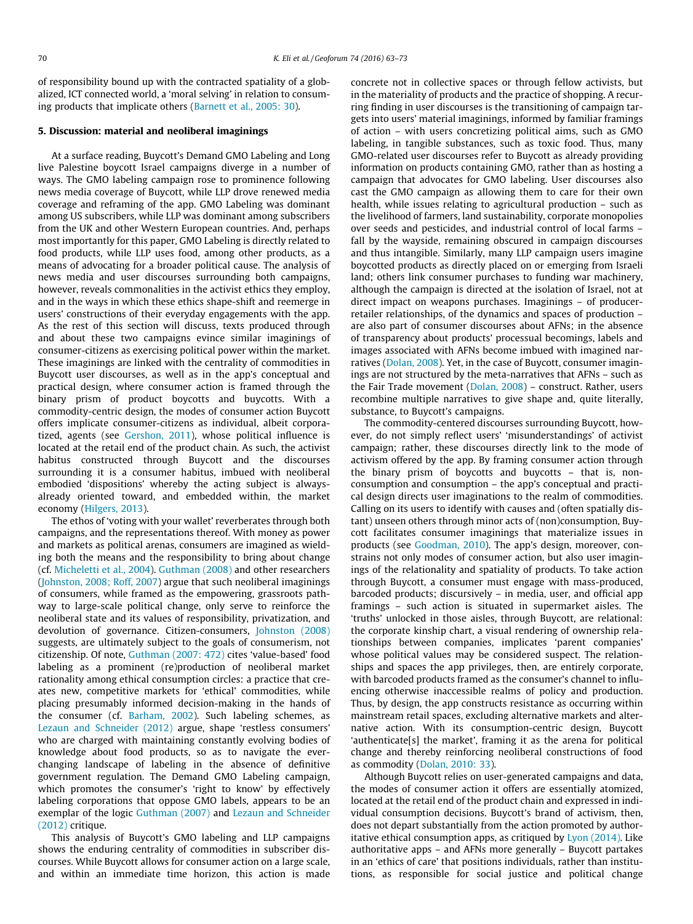of responsibility bound up with the contracted spatiality of a globalized, ICT connected world, a 'moral selving' in relation to consuming products that implicate others ([Barnett et al., 2005: 30](#page-9-0)).

#### 5. Discussion: material and neoliberal imaginings

At a surface reading, Buycott's Demand GMO Labeling and Long live Palestine boycott Israel campaigns diverge in a number of ways. The GMO labeling campaign rose to prominence following news media coverage of Buycott, while LLP drove renewed media coverage and reframing of the app. GMO Labeling was dominant among US subscribers, while LLP was dominant among subscribers from the UK and other Western European countries. And, perhaps most importantly for this paper, GMO Labeling is directly related to food products, while LLP uses food, among other products, as a means of advocating for a broader political cause. The analysis of news media and user discourses surrounding both campaigns, however, reveals commonalities in the activist ethics they employ, and in the ways in which these ethics shape-shift and reemerge in users' constructions of their everyday engagements with the app. As the rest of this section will discuss, texts produced through and about these two campaigns evince similar imaginings of consumer-citizens as exercising political power within the market. These imaginings are linked with the centrality of commodities in Buycott user discourses, as well as in the app's conceptual and practical design, where consumer action is framed through the binary prism of product boycotts and buycotts. With a commodity-centric design, the modes of consumer action Buycott offers implicate consumer-citizens as individual, albeit corporatized, agents (see [Gershon, 2011](#page-9-0)), whose political influence is located at the retail end of the product chain. As such, the activist habitus constructed through Buycott and the discourses surrounding it is a consumer habitus, imbued with neoliberal embodied 'dispositions' whereby the acting subject is alwaysalready oriented toward, and embedded within, the market economy ([Hilgers, 2013](#page-9-0)).

The ethos of 'voting with your wallet' reverberates through both campaigns, and the representations thereof. With money as power and markets as political arenas, consumers are imagined as wielding both the means and the responsibility to bring about change (cf. [Micheletti et al., 2004](#page-9-0)). [Guthman \(2008\)](#page-9-0) and other researchers ([Johnston, 2008; Roff, 2007\)](#page-9-0) argue that such neoliberal imaginings of consumers, while framed as the empowering, grassroots pathway to large-scale political change, only serve to reinforce the neoliberal state and its values of responsibility, privatization, and devolution of governance. Citizen-consumers, [Johnston \(2008\)](#page-9-0) suggests, are ultimately subject to the goals of consumerism, not citizenship. Of note, [Guthman \(2007: 472\)](#page-9-0) cites 'value-based' food labeling as a prominent (re)production of neoliberal market rationality among ethical consumption circles: a practice that creates new, competitive markets for 'ethical' commodities, while placing presumably informed decision-making in the hands of the consumer (cf. [Barham, 2002](#page-9-0)). Such labeling schemes, as [Lezaun and Schneider \(2012\)](#page-9-0) argue, shape 'restless consumers' who are charged with maintaining constantly evolving bodies of knowledge about food products, so as to navigate the everchanging landscape of labeling in the absence of definitive government regulation. The Demand GMO Labeling campaign, which promotes the consumer's 'right to know' by effectively labeling corporations that oppose GMO labels, appears to be an exemplar of the logic [Guthman \(2007\)](#page-9-0) and [Lezaun and Schneider](#page-9-0) [\(2012\)](#page-9-0) critique.

This analysis of Buycott's GMO labeling and LLP campaigns shows the enduring centrality of commodities in subscriber discourses. While Buycott allows for consumer action on a large scale, and within an immediate time horizon, this action is made concrete not in collective spaces or through fellow activists, but in the materiality of products and the practice of shopping. A recurring finding in user discourses is the transitioning of campaign targets into users' material imaginings, informed by familiar framings of action – with users concretizing political aims, such as GMO labeling, in tangible substances, such as toxic food. Thus, many GMO-related user discourses refer to Buycott as already providing information on products containing GMO, rather than as hosting a campaign that advocates for GMO labeling. User discourses also cast the GMO campaign as allowing them to care for their own health, while issues relating to agricultural production – such as the livelihood of farmers, land sustainability, corporate monopolies over seeds and pesticides, and industrial control of local farms – fall by the wayside, remaining obscured in campaign discourses and thus intangible. Similarly, many LLP campaign users imagine boycotted products as directly placed on or emerging from Israeli land; others link consumer purchases to funding war machinery, although the campaign is directed at the isolation of Israel, not at direct impact on weapons purchases. Imaginings – of producerretailer relationships, of the dynamics and spaces of production – are also part of consumer discourses about AFNs; in the absence of transparency about products' processual becomings, labels and images associated with AFNs become imbued with imagined narratives [\(Dolan, 2008](#page-9-0)). Yet, in the case of Buycott, consumer imaginings are not structured by the meta-narratives that AFNs – such as the Fair Trade movement [\(Dolan, 2008\)](#page-9-0) – construct. Rather, users recombine multiple narratives to give shape and, quite literally, substance, to Buycott's campaigns.

The commodity-centered discourses surrounding Buycott, however, do not simply reflect users' 'misunderstandings' of activist campaign; rather, these discourses directly link to the mode of activism offered by the app. By framing consumer action through the binary prism of boycotts and buycotts – that is, nonconsumption and consumption – the app's conceptual and practical design directs user imaginations to the realm of commodities. Calling on its users to identify with causes and (often spatially distant) unseen others through minor acts of (non)consumption, Buycott facilitates consumer imaginings that materialize issues in products (see [Goodman, 2010](#page-9-0)). The app's design, moreover, constrains not only modes of consumer action, but also user imaginings of the relationality and spatiality of products. To take action through Buycott, a consumer must engage with mass-produced, barcoded products; discursively – in media, user, and official app framings – such action is situated in supermarket aisles. The 'truths' unlocked in those aisles, through Buycott, are relational: the corporate kinship chart, a visual rendering of ownership relationships between companies, implicates 'parent companies' whose political values may be considered suspect. The relationships and spaces the app privileges, then, are entirely corporate, with barcoded products framed as the consumer's channel to influencing otherwise inaccessible realms of policy and production. Thus, by design, the app constructs resistance as occurring within mainstream retail spaces, excluding alternative markets and alternative action. With its consumption-centric design, Buycott 'authenticate[s] the market', framing it as the arena for political change and thereby reinforcing neoliberal constructions of food as commodity [\(Dolan, 2010: 33\)](#page-9-0).

Although Buycott relies on user-generated campaigns and data, the modes of consumer action it offers are essentially atomized, located at the retail end of the product chain and expressed in individual consumption decisions. Buycott's brand of activism, then, does not depart substantially from the action promoted by authoritative ethical consumption apps, as critiqued by [Lyon \(2014\)](#page-9-0). Like authoritative apps – and AFNs more generally – Buycott partakes in an 'ethics of care' that positions individuals, rather than institutions, as responsible for social justice and political change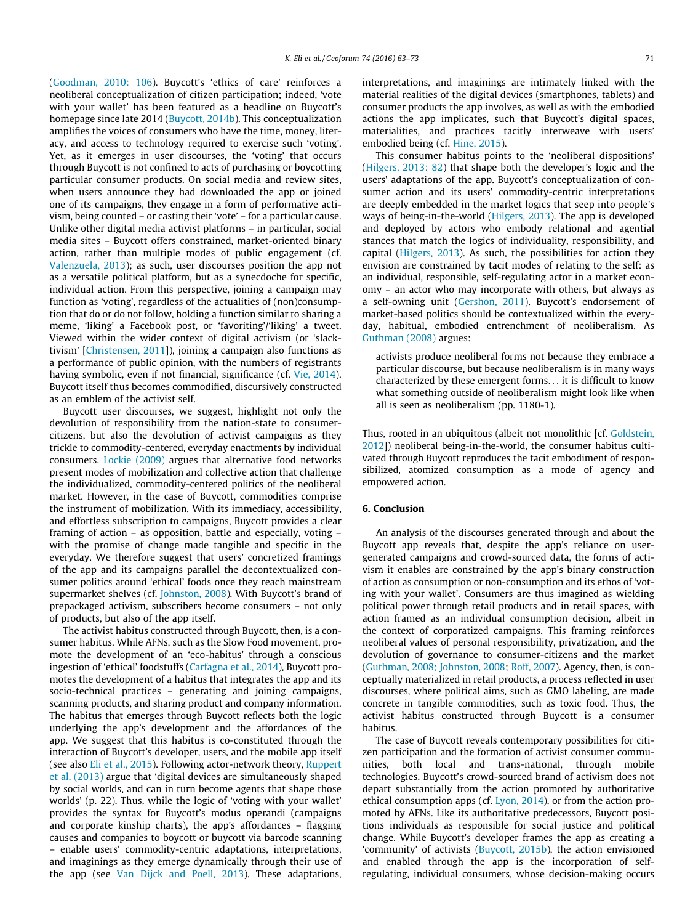([Goodman, 2010: 106\)](#page-9-0). Buycott's 'ethics of care' reinforces a neoliberal conceptualization of citizen participation; indeed, 'vote with your wallet' has been featured as a headline on Buycott's homepage since late 2014 [\(Buycott, 2014b\)](#page-9-0). This conceptualization amplifies the voices of consumers who have the time, money, literacy, and access to technology required to exercise such 'voting'. Yet, as it emerges in user discourses, the 'voting' that occurs through Buycott is not confined to acts of purchasing or boycotting particular consumer products. On social media and review sites, when users announce they had downloaded the app or joined one of its campaigns, they engage in a form of performative activism, being counted – or casting their 'vote' – for a particular cause. Unlike other digital media activist platforms – in particular, social media sites – Buycott offers constrained, market-oriented binary action, rather than multiple modes of public engagement (cf. [Valenzuela, 2013](#page-10-0)); as such, user discourses position the app not as a versatile political platform, but as a synecdoche for specific, individual action. From this perspective, joining a campaign may function as 'voting', regardless of the actualities of (non)consumption that do or do not follow, holding a function similar to sharing a meme, 'liking' a Facebook post, or 'favoriting'/'liking' a tweet. Viewed within the wider context of digital activism (or 'slacktivism' [\[Christensen, 2011](#page-9-0)]), joining a campaign also functions as a performance of public opinion, with the numbers of registrants having symbolic, even if not financial, significance (cf. [Vie, 2014\)](#page-10-0). Buycott itself thus becomes commodified, discursively constructed as an emblem of the activist self.

Buycott user discourses, we suggest, highlight not only the devolution of responsibility from the nation-state to consumercitizens, but also the devolution of activist campaigns as they trickle to commodity-centered, everyday enactments by individual consumers. [Lockie \(2009\)](#page-9-0) argues that alternative food networks present modes of mobilization and collective action that challenge the individualized, commodity-centered politics of the neoliberal market. However, in the case of Buycott, commodities comprise the instrument of mobilization. With its immediacy, accessibility, and effortless subscription to campaigns, Buycott provides a clear framing of action – as opposition, battle and especially, voting – with the promise of change made tangible and specific in the everyday. We therefore suggest that users' concretized framings of the app and its campaigns parallel the decontextualized consumer politics around 'ethical' foods once they reach mainstream supermarket shelves (cf. [Johnston, 2008\)](#page-9-0). With Buycott's brand of prepackaged activism, subscribers become consumers – not only of products, but also of the app itself.

The activist habitus constructed through Buycott, then, is a consumer habitus. While AFNs, such as the Slow Food movement, promote the development of an 'eco-habitus' through a conscious ingestion of 'ethical' foodstuffs ([Carfagna et al., 2014](#page-9-0)), Buycott promotes the development of a habitus that integrates the app and its socio-technical practices – generating and joining campaigns, scanning products, and sharing product and company information. The habitus that emerges through Buycott reflects both the logic underlying the app's development and the affordances of the app. We suggest that this habitus is co-constituted through the interaction of Buycott's developer, users, and the mobile app itself (see also [Eli et al., 2015](#page-9-0)). Following actor-network theory, [Ruppert](#page-10-0) [et al. \(2013\)](#page-10-0) argue that 'digital devices are simultaneously shaped by social worlds, and can in turn become agents that shape those worlds' (p. 22). Thus, while the logic of 'voting with your wallet' provides the syntax for Buycott's modus operandi (campaigns and corporate kinship charts), the app's affordances – flagging causes and companies to boycott or buycott via barcode scanning – enable users' commodity-centric adaptations, interpretations, and imaginings as they emerge dynamically through their use of the app (see [Van Dijck and Poell, 2013\)](#page-10-0). These adaptations, interpretations, and imaginings are intimately linked with the material realities of the digital devices (smartphones, tablets) and consumer products the app involves, as well as with the embodied actions the app implicates, such that Buycott's digital spaces, materialities, and practices tacitly interweave with users' embodied being (cf. [Hine, 2015\)](#page-9-0).

This consumer habitus points to the 'neoliberal dispositions' ([Hilgers, 2013: 82\)](#page-9-0) that shape both the developer's logic and the users' adaptations of the app. Buycott's conceptualization of consumer action and its users' commodity-centric interpretations are deeply embedded in the market logics that seep into people's ways of being-in-the-world ([Hilgers, 2013](#page-9-0)). The app is developed and deployed by actors who embody relational and agential stances that match the logics of individuality, responsibility, and capital ([Hilgers, 2013\)](#page-9-0). As such, the possibilities for action they envision are constrained by tacit modes of relating to the self: as an individual, responsible, self-regulating actor in a market economy – an actor who may incorporate with others, but always as a self-owning unit ([Gershon, 2011](#page-9-0)). Buycott's endorsement of market-based politics should be contextualized within the everyday, habitual, embodied entrenchment of neoliberalism. As [Guthman \(2008\)](#page-9-0) argues:

activists produce neoliberal forms not because they embrace a particular discourse, but because neoliberalism is in many ways characterized by these emergent forms... it is difficult to know what something outside of neoliberalism might look like when all is seen as neoliberalism (pp. 1180-1).

Thus, rooted in an ubiquitous (albeit not monolithic [cf. [Goldstein,](#page-9-0) [2012](#page-9-0)]) neoliberal being-in-the-world, the consumer habitus cultivated through Buycott reproduces the tacit embodiment of responsibilized, atomized consumption as a mode of agency and empowered action.

## 6. Conclusion

An analysis of the discourses generated through and about the Buycott app reveals that, despite the app's reliance on usergenerated campaigns and crowd-sourced data, the forms of activism it enables are constrained by the app's binary construction of action as consumption or non-consumption and its ethos of 'voting with your wallet'. Consumers are thus imagined as wielding political power through retail products and in retail spaces, with action framed as an individual consumption decision, albeit in the context of corporatized campaigns. This framing reinforces neoliberal values of personal responsibility, privatization, and the devolution of governance to consumer-citizens and the market ([Guthman, 2008; Johnston, 2008](#page-9-0); [Roff, 2007\)](#page-10-0). Agency, then, is conceptually materialized in retail products, a process reflected in user discourses, where political aims, such as GMO labeling, are made concrete in tangible commodities, such as toxic food. Thus, the activist habitus constructed through Buycott is a consumer habitus.

The case of Buycott reveals contemporary possibilities for citizen participation and the formation of activist consumer communities, both local and trans-national, through mobile technologies. Buycott's crowd-sourced brand of activism does not depart substantially from the action promoted by authoritative ethical consumption apps (cf. [Lyon, 2014](#page-9-0)), or from the action promoted by AFNs. Like its authoritative predecessors, Buycott positions individuals as responsible for social justice and political change. While Buycott's developer frames the app as creating a 'community' of activists ([Buycott, 2015b](#page-9-0)), the action envisioned and enabled through the app is the incorporation of selfregulating, individual consumers, whose decision-making occurs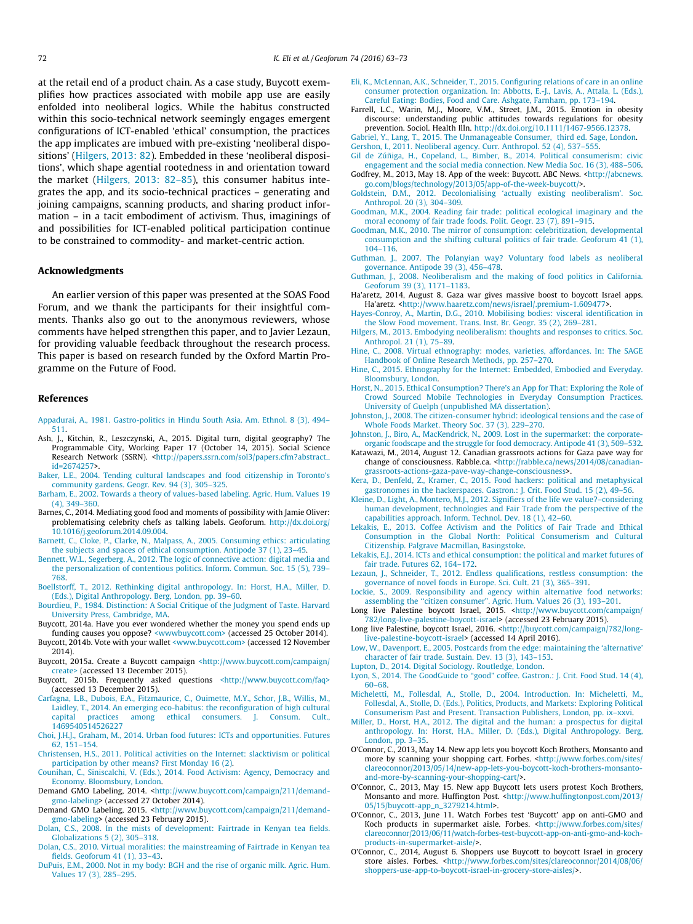<span id="page-9-0"></span>at the retail end of a product chain. As a case study, Buycott exemplifies how practices associated with mobile app use are easily enfolded into neoliberal logics. While the habitus constructed within this socio-technical network seemingly engages emergent configurations of ICT-enabled 'ethical' consumption, the practices the app implicates are imbued with pre-existing 'neoliberal dispositions' (Hilgers, 2013: 82). Embedded in these 'neoliberal dispositions', which shape agential rootedness in and orientation toward the market (Hilgers, 2013: 82–85), this consumer habitus integrates the app, and its socio-technical practices – generating and joining campaigns, scanning products, and sharing product information – in a tacit embodiment of activism. Thus, imaginings of and possibilities for ICT-enabled political participation continue to be constrained to commodity- and market-centric action.

#### Acknowledgments

An earlier version of this paper was presented at the SOAS Food Forum, and we thank the participants for their insightful comments. Thanks also go out to the anonymous reviewers, whose comments have helped strengthen this paper, and to Javier Lezaun, for providing valuable feedback throughout the research process. This paper is based on research funded by the Oxford Martin Programme on the Future of Food.

#### References

- [Appadurai, A., 1981. Gastro-politics in Hindu South Asia. Am. Ethnol. 8 \(3\), 494–](http://refhub.elsevier.com/S0016-7185(15)30125-1/h0005) [511](http://refhub.elsevier.com/S0016-7185(15)30125-1/h0005).
- Ash, J., Kitchin, R., Leszczynski, A., 2015. Digital turn, digital geography? The Programmable City, Working Paper 17 (October 14, 2015). Social Science Research Network (SSRN). [<http://papers.ssrn.com/sol3/papers.cfm?abstract\\_](http://papers.ssrn.com/sol3/papers.cfm?abstract_id=2674257) [id=2674257>](http://papers.ssrn.com/sol3/papers.cfm?abstract_id=2674257).
- [Baker, L.E., 2004. Tending cultural landscapes and food citizenship in Toronto's](http://refhub.elsevier.com/S0016-7185(15)30125-1/h0015) [community gardens. Geogr. Rev. 94 \(3\), 305–325](http://refhub.elsevier.com/S0016-7185(15)30125-1/h0015).
- [Barham, E., 2002. Towards a theory of values-based labeling. Agric. Hum. Values 19](http://refhub.elsevier.com/S0016-7185(15)30125-1/h0020)  $(4)$ , 349–360.
- Barnes, C., 2014. Mediating good food and moments of possibility with Jamie Oliver: problematising celebrity chefs as talking labels. Geoforum. [http://dx.doi.org/](http://dx.doi.org/10.1016/j.geoforum.2014.09.004) [10.1016/j.geoforum.2014.09.004.](http://dx.doi.org/10.1016/j.geoforum.2014.09.004)
- [Barnett, C., Cloke, P., Clarke, N., Malpass, A., 2005. Consuming ethics: articulating](http://refhub.elsevier.com/S0016-7185(15)30125-1/h0030) [the subjects and spaces of ethical consumption. Antipode 37 \(1\), 23–45](http://refhub.elsevier.com/S0016-7185(15)30125-1/h0030).
- [Bennett, W.L., Segerberg, A., 2012. The logic of connective action: digital media and](http://refhub.elsevier.com/S0016-7185(15)30125-1/h0035) [the personalization of contentious politics. Inform. Commun. Soc. 15 \(5\), 739–](http://refhub.elsevier.com/S0016-7185(15)30125-1/h0035) [768](http://refhub.elsevier.com/S0016-7185(15)30125-1/h0035).
- [Boellstorff, T., 2012. Rethinking digital anthropology. In: Horst, H.A., Miller, D.](http://refhub.elsevier.com/S0016-7185(15)30125-1/h0040) [\(Eds.\), Digital Anthropology. Berg, London, pp. 39–60](http://refhub.elsevier.com/S0016-7185(15)30125-1/h0040).
- [Bourdieu, P., 1984. Distinction: A Social Critique of the Judgment of Taste. Harvard](http://refhub.elsevier.com/S0016-7185(15)30125-1/h0045) [University Press, Cambridge, MA](http://refhub.elsevier.com/S0016-7185(15)30125-1/h0045).
- Buycott, 2014a. Have you ever wondered whether the money you spend ends up funding causes you oppose? [<wwwbuycott.com>](http://www.elsevier.com/xml/linking-roles/text/html) (accessed 25 October 2014).
- Buycott, 2014b. Vote with your wallet [<www.buycott.com>](http://www.elsevier.com/xml/linking-roles/text/html) (accessed 12 November 2014).
- Buycott, 2015a. Create a Buycott campaign [<http://www.buycott.com/campaign/](http://www.elsevier.com/xml/linking-roles/text/html) [create>](http://www.elsevier.com/xml/linking-roles/text/html) (accessed 13 December 2015).
- Buycott, 2015b. Frequently asked questions [<http://www.buycott.com/faq>](http://www.elsevier.com/xml/linking-roles/text/html) (accessed 13 December 2015).
- [Carfagna, L.B., Dubois, E.A., Fitzmaurice, C., Ouimette, M.Y., Schor, J.B., Willis, M.,](http://refhub.elsevier.com/S0016-7185(15)30125-1/h0065) [Laidley, T., 2014. An emerging eco-habitus: the reconfiguration of high cultural](http://refhub.elsevier.com/S0016-7185(15)30125-1/h0065) [capital practices among ethical consumers. J. Consum. Cult.,](http://refhub.elsevier.com/S0016-7185(15)30125-1/h0065) [1469540514526227](http://refhub.elsevier.com/S0016-7185(15)30125-1/h0065)
- [Choi, J.H.J., Graham, M., 2014. Urban food futures: ICTs and opportunities. Futures](http://refhub.elsevier.com/S0016-7185(15)30125-1/h0070) [62, 151–154.](http://refhub.elsevier.com/S0016-7185(15)30125-1/h0070)
- [Christensen, H.S., 2011. Political activities on the Internet: slacktivism or political](http://refhub.elsevier.com/S0016-7185(15)30125-1/h0075) [participation by other means? First Monday 16 \(2\).](http://refhub.elsevier.com/S0016-7185(15)30125-1/h0075)
- [Counihan, C., Siniscalchi, V. \(Eds.\), 2014. Food Activism: Agency, Democracy and](http://refhub.elsevier.com/S0016-7185(15)30125-1/h0080) [Economy. Bloomsbury, London.](http://refhub.elsevier.com/S0016-7185(15)30125-1/h0080)
- Demand GMO Labeling, 2014. [<http://www.buycott.com/campaign/211/demand](http://www.buycott.com/campaign/211/demand-gmo-labeling)[gmo-labeling>](http://www.buycott.com/campaign/211/demand-gmo-labeling) (accessed 27 October 2014).
- Demand GMO Labeling, 2015. [<http://www.buycott.com/campaign/211/demand](http://www.buycott.com/campaign/211/demand-gmo-labeling)[gmo-labeling>](http://www.buycott.com/campaign/211/demand-gmo-labeling) (accessed 23 February 2015).
- [Dolan, C.S., 2008. In the mists of development: Fairtrade in Kenyan tea fields.](http://refhub.elsevier.com/S0016-7185(15)30125-1/h0090) [Globalizations 5 \(2\), 305–318.](http://refhub.elsevier.com/S0016-7185(15)30125-1/h0090)
- [Dolan, C.S., 2010. Virtual moralities: the mainstreaming of Fairtrade in Kenyan tea](http://refhub.elsevier.com/S0016-7185(15)30125-1/h0095) [fields. Geoforum 41 \(1\), 33–43](http://refhub.elsevier.com/S0016-7185(15)30125-1/h0095).
- [DuPuis, E.M., 2000. Not in my body: BGH and the rise of organic milk. Agric. Hum.](http://refhub.elsevier.com/S0016-7185(15)30125-1/h0100) [Values 17 \(3\), 285–295.](http://refhub.elsevier.com/S0016-7185(15)30125-1/h0100)
- [Eli, K., McLennan, A.K., Schneider, T., 2015. Configuring relations of care in an online](http://refhub.elsevier.com/S0016-7185(15)30125-1/h0105) [consumer protection organization. In: Abbotts, E.-J., Lavis, A., Attala, L. \(Eds.\),](http://refhub.elsevier.com/S0016-7185(15)30125-1/h0105) [Careful Eating: Bodies, Food and Care. Ashgate, Farnham, pp. 173–194.](http://refhub.elsevier.com/S0016-7185(15)30125-1/h0105)
- Farrell, L.C., Warin, M.J., Moore, V.M., Street, J.M., 2015. Emotion in obesity discourse: understanding public attitudes towards regulations for obesity prevention. Sociol. Health Illn. <http://dx.doi.org/10.1111/1467-9566.12378>.
- [Gabriel, Y., Lang, T., 2015. The Unmanageable Consumer, third ed. Sage, London.](http://refhub.elsevier.com/S0016-7185(15)30125-1/h0115)
- [Gershon, I., 2011. Neoliberal agency. Curr. Anthropol. 52 \(4\), 537–555.](http://refhub.elsevier.com/S0016-7185(15)30125-1/h0120)
- [Gil de Zúñiga, H., Copeland, L., Bimber, B., 2014. Political consumerism: civic](http://refhub.elsevier.com/S0016-7185(15)30125-1/h0125) [engagement and the social media connection. New Media Soc. 16 \(3\), 488–506](http://refhub.elsevier.com/S0016-7185(15)30125-1/h0125). Godfrey, M., 2013, May 18. App of the week: Buycott. ABC News. [<http://abcnews.](http://abcnews.go.com/blogs/technology/2013/05/app-of-the-week-buycott/)
- [go.com/blogs/technology/2013/05/app-of-the-week-buycott/>](http://abcnews.go.com/blogs/technology/2013/05/app-of-the-week-buycott/). [Goldstein, D.M., 2012. Decolonialising 'actually existing neoliberalism'. Soc.](http://refhub.elsevier.com/S0016-7185(15)30125-1/h0135)
- [Anthropol. 20 \(3\), 304–309](http://refhub.elsevier.com/S0016-7185(15)30125-1/h0135).
- [Goodman, M.K., 2004. Reading fair trade: political ecological imaginary and the](http://refhub.elsevier.com/S0016-7185(15)30125-1/h0140) [moral economy of fair trade foods. Polit. Geogr. 23 \(7\), 891–915](http://refhub.elsevier.com/S0016-7185(15)30125-1/h0140).
- [Goodman, M.K., 2010. The mirror of consumption: celebritization, developmental](http://refhub.elsevier.com/S0016-7185(15)30125-1/h0145) [consumption and the shifting cultural politics of fair trade. Geoforum 41 \(1\),](http://refhub.elsevier.com/S0016-7185(15)30125-1/h0145) [104–116](http://refhub.elsevier.com/S0016-7185(15)30125-1/h0145).
- [Guthman, J., 2007. The Polanyian way? Voluntary food labels as neoliberal](http://refhub.elsevier.com/S0016-7185(15)30125-1/h0150) [governance. Antipode 39 \(3\), 456–478](http://refhub.elsevier.com/S0016-7185(15)30125-1/h0150).
- [Guthman, J., 2008. Neoliberalism and the making of food politics in California.](http://refhub.elsevier.com/S0016-7185(15)30125-1/h0155) [Geoforum 39 \(3\), 1171–1183](http://refhub.elsevier.com/S0016-7185(15)30125-1/h0155).
- Ha'aretz, 2014, August 8. Gaza war gives massive boost to boycott Israel apps. Ha'aretz. <[http://www.haaretz.com/news/israel/.premium-1.609477>](http://www.haaretz.com/news/israel/.premium-1.609477).
- [Hayes-Conroy, A., Martin, D.G., 2010. Mobilising bodies: visceral identification in](http://refhub.elsevier.com/S0016-7185(15)30125-1/h0170) [the Slow Food movement. Trans. Inst. Br. Geogr. 35 \(2\), 269–281](http://refhub.elsevier.com/S0016-7185(15)30125-1/h0170).
- [Hilgers, M., 2013. Embodying neoliberalism: thoughts and responses to critics. Soc.](http://refhub.elsevier.com/S0016-7185(15)30125-1/h0175) [Anthropol. 21 \(1\), 75–89](http://refhub.elsevier.com/S0016-7185(15)30125-1/h0175).
- [Hine, C., 2008. Virtual ethnography: modes, varieties, affordances. In: The SAGE](http://refhub.elsevier.com/S0016-7185(15)30125-1/h0180) [Handbook of Online Research Methods, pp. 257–270](http://refhub.elsevier.com/S0016-7185(15)30125-1/h0180).
- [Hine, C., 2015. Ethnography for the Internet: Embedded, Embodied and Everyday.](http://refhub.elsevier.com/S0016-7185(15)30125-1/h0185) [Bloomsbury, London](http://refhub.elsevier.com/S0016-7185(15)30125-1/h0185).
- [Horst, N., 2015. Ethical Consumption? There's an App for That: Exploring the Role of](http://refhub.elsevier.com/S0016-7185(15)30125-1/h0190) [Crowd Sourced Mobile Technologies in Everyday Consumption Practices.](http://refhub.elsevier.com/S0016-7185(15)30125-1/h0190) [University of Guelph \(unpublished MA dissertation\).](http://refhub.elsevier.com/S0016-7185(15)30125-1/h0190)
- [Johnston, J., 2008. The citizen-consumer hybrid: ideological tensions and the case of](http://refhub.elsevier.com/S0016-7185(15)30125-1/h0195) [Whole Foods Market. Theory Soc. 37 \(3\), 229–270](http://refhub.elsevier.com/S0016-7185(15)30125-1/h0195).

[Johnston, J., Biro, A., MacKendrick, N., 2009. Lost in the supermarket: the corporate](http://refhub.elsevier.com/S0016-7185(15)30125-1/h0200)[organic foodscape and the struggle for food democracy. Antipode 41 \(3\), 509–532](http://refhub.elsevier.com/S0016-7185(15)30125-1/h0200).

- Katawazi, M., 2014, August 12. Canadian grassroots actions for Gaza pave way for change of consciousness. Rabble.ca. [<http://rabble.ca/news/2014/08/canadian](http://rabble.ca/news/2014/08/canadian-grassroots-actions-gaza-pave-way-change-consciousness)[grassroots-actions-gaza-pave-way-change-consciousness>](http://rabble.ca/news/2014/08/canadian-grassroots-actions-gaza-pave-way-change-consciousness).
- [Kera, D., Denfeld, Z., Kramer, C., 2015. Food hackers: political and metaphysical](http://refhub.elsevier.com/S0016-7185(15)30125-1/h0210) [gastronomes in the hackerspaces. Gastron.: J. Crit. Food Stud. 15 \(2\), 49–56.](http://refhub.elsevier.com/S0016-7185(15)30125-1/h0210)
- [Kleine, D., Light, A., Montero, M.J., 2012. Signifiers of the life we value?–considering](http://refhub.elsevier.com/S0016-7185(15)30125-1/h0215) [human development, technologies and Fair Trade from the perspective of the](http://refhub.elsevier.com/S0016-7185(15)30125-1/h0215) [capabilities approach. Inform. Technol. Dev. 18 \(1\), 42–60](http://refhub.elsevier.com/S0016-7185(15)30125-1/h0215).
- [Lekakis, E., 2013. Coffee Activism and the Politics of Fair Trade and Ethical](http://refhub.elsevier.com/S0016-7185(15)30125-1/h0220) [Consumption in the Global North: Political Consumerism and Cultural](http://refhub.elsevier.com/S0016-7185(15)30125-1/h0220) [Citizenship. Palgrave Macmillan, Basingstoke](http://refhub.elsevier.com/S0016-7185(15)30125-1/h0220).
- [Lekakis, E.J., 2014. ICTs and ethical consumption: the political and market futures of](http://refhub.elsevier.com/S0016-7185(15)30125-1/h0225) [fair trade. Futures 62, 164–172](http://refhub.elsevier.com/S0016-7185(15)30125-1/h0225).
- [Lezaun, J., Schneider, T., 2012. Endless qualifications, restless consumption: the](http://refhub.elsevier.com/S0016-7185(15)30125-1/h0230) [governance of novel foods in Europe. Sci. Cult. 21 \(3\), 365–391.](http://refhub.elsevier.com/S0016-7185(15)30125-1/h0230)
- [Lockie, S., 2009. Responsibility and agency within alternative food networks:](http://refhub.elsevier.com/S0016-7185(15)30125-1/h0235) [assembling the ''citizen consumer". Agric. Hum. Values 26 \(3\), 193–201](http://refhub.elsevier.com/S0016-7185(15)30125-1/h0235).
- Long live Palestine boycott Israel, 2015. [<http://www.buycott.com/campaign/](http://www.buycott.com/campaign/782/long-live-palestine-boycott-israel) [782/long-live-palestine-boycott-israel>](http://www.buycott.com/campaign/782/long-live-palestine-boycott-israel) (accessed 23 February 2015).
- Long live Palestine, boycott Israel, 2016. <[http://buycott.com/campaign/782/long](http://buycott.com/campaign/782/long-live-palestine-boycott-israel)[live-palestine-boycott-israel](http://buycott.com/campaign/782/long-live-palestine-boycott-israel)> (accessed 14 April 2016).
- [Low, W., Davenport, E., 2005. Postcards from the edge: maintaining the 'alternative'](http://refhub.elsevier.com/S0016-7185(15)30125-1/h0250) [character of fair trade. Sustain. Dev. 13 \(3\), 143–153.](http://refhub.elsevier.com/S0016-7185(15)30125-1/h0250)
- [Lupton, D., 2014. Digital Sociology. Routledge, London](http://refhub.elsevier.com/S0016-7185(15)30125-1/h0255).
- [Lyon, S., 2014. The GoodGuide to ''good" coffee. Gastron.: J. Crit. Food Stud. 14 \(4\),](http://refhub.elsevier.com/S0016-7185(15)30125-1/h0260) [60–68.](http://refhub.elsevier.com/S0016-7185(15)30125-1/h0260)
- [Micheletti, M., Follesdal, A., Stolle, D., 2004. Introduction. In: Micheletti, M.,](http://refhub.elsevier.com/S0016-7185(15)30125-1/h0265) [Follesdal, A., Stolle, D. \(Eds.\), Politics, Products, and Markets: Exploring Political](http://refhub.elsevier.com/S0016-7185(15)30125-1/h0265) [Consumerism Past and Present. Transaction Publishers, London, pp. ix–xxvi.](http://refhub.elsevier.com/S0016-7185(15)30125-1/h0265)
- [Miller, D., Horst, H.A., 2012. The digital and the human: a prospectus for digital](http://refhub.elsevier.com/S0016-7185(15)30125-1/h0270) [anthropology. In: Horst, H.A., Miller, D. \(Eds.\), Digital Anthropology. Berg,](http://refhub.elsevier.com/S0016-7185(15)30125-1/h0270) [London, pp. 3–35](http://refhub.elsevier.com/S0016-7185(15)30125-1/h0270).
- O'Connor, C., 2013, May 14. New app lets you boycott Koch Brothers, Monsanto and more by scanning your shopping cart. Forbes. [<http://www.forbes.com/sites/](http://www.forbes.com/sites/clareoconnor/2013/05/14/new-app-lets-you-boycott-koch-brothers-monsanto-and-more-by-scanning-your-shopping-cart/) [clareoconnor/2013/05/14/new-app-lets-you-boycott-koch-brothers-monsanto](http://www.forbes.com/sites/clareoconnor/2013/05/14/new-app-lets-you-boycott-koch-brothers-monsanto-and-more-by-scanning-your-shopping-cart/)[and-more-by-scanning-your-shopping-cart/>](http://www.forbes.com/sites/clareoconnor/2013/05/14/new-app-lets-you-boycott-koch-brothers-monsanto-and-more-by-scanning-your-shopping-cart/).
- O'Connor, C., 2013, May 15. New app Buycott lets users protest Koch Brothers, Monsanto and more. Huffington Post. <[http://www.huffingtonpost.com/2013/](http://www.huffingtonpost.com/2013/05/15/buycott-app_n_3279214.html) [05/15/buycott-app\\_n\\_3279214.html>](http://www.huffingtonpost.com/2013/05/15/buycott-app_n_3279214.html).
- O'Connor, C., 2013, June 11. Watch Forbes test 'Buycott' app on anti-GMO and Koch products in supermarket aisle. Forbes. [<http://www.forbes.com/sites/](http://www.forbes.com/sites/clareoconnor/2013/06/11/watch-forbes-test-buycott-app-on-anti-gmo-and-koch-products-in-supermarket-aisle/) [clareoconnor/2013/06/11/watch-forbes-test-buycott-app-on-anti-gmo-and-koch](http://www.forbes.com/sites/clareoconnor/2013/06/11/watch-forbes-test-buycott-app-on-anti-gmo-and-koch-products-in-supermarket-aisle/)[products-in-supermarket-aisle/>](http://www.forbes.com/sites/clareoconnor/2013/06/11/watch-forbes-test-buycott-app-on-anti-gmo-and-koch-products-in-supermarket-aisle/).
- O'Connor, C., 2014, August 6. Shoppers use Buycott to boycott Israel in grocery store aisles. Forbes. [<http://www.forbes.com/sites/clareoconnor/2014/08/06/](http://www.forbes.com/sites/clareoconnor/2014/08/06/shoppers-use-app-to-boycott-israel-in-grocery-store-aisles/) [shoppers-use-app-to-boycott-israel-in-grocery-store-aisles/](http://www.forbes.com/sites/clareoconnor/2014/08/06/shoppers-use-app-to-boycott-israel-in-grocery-store-aisles/)>.